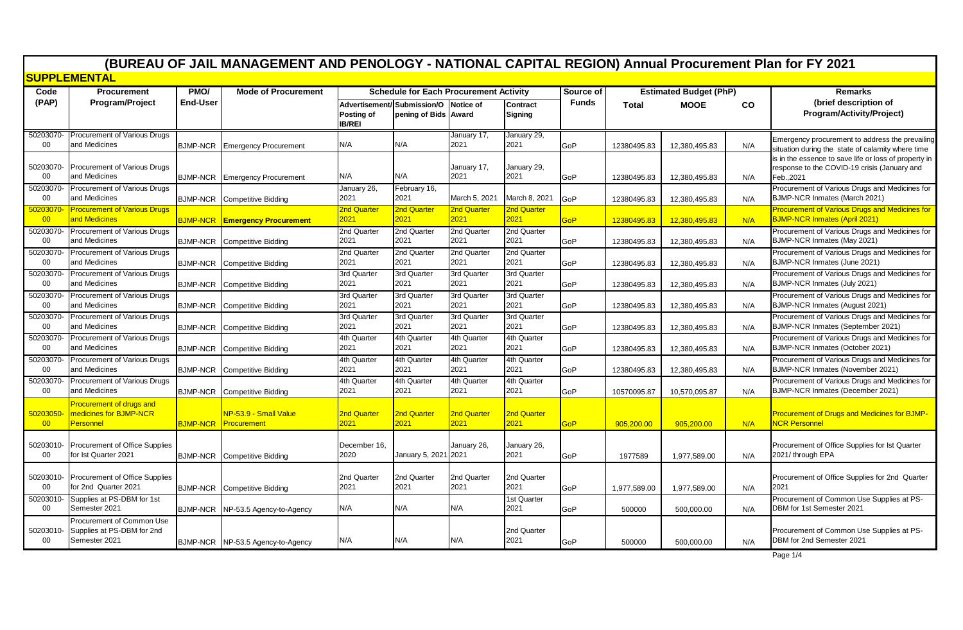| <b>SUPPLEMENTAL</b><br>PMO/<br><b>Mode of Procurement</b><br><b>Schedule for Each Procurement Activity</b><br>Source of<br><b>Estimated Budget (PhP)</b><br>Code<br><b>Procurement</b><br><b>Remarks</b><br>(PAP)<br><b>End-User</b><br><b>Funds</b><br>(brief description of<br><b>Program/Project</b><br>Advertisement/ Submission/O Notice of<br><b>Contract</b><br><b>Total</b><br><b>MOOE</b><br>CO<br>Posting of<br>pening of Bids Award<br><b>Signing</b><br><b>IB/REI</b><br>January 29,<br>50203070-<br><b>Procurement of Various Drugs</b><br>January 17,<br>and Medicines<br>2021<br>00<br>N/A<br>N/A<br>2021<br><b>GoP</b><br><b>BJMP-NCR</b><br><b>Emergency Procurement</b><br>12380495.83<br>12.380.495.83<br>N/A<br><b>Procurement of Various Drugs</b><br>50203070<br>January 17,<br>January 29,<br>and Medicines<br>2021<br>2021<br>00<br>N/A<br>N/A<br><b>Emergency Procurement</b><br>GoP<br>N/A<br><b>BJMP-NCR</b><br>12380495.83<br>12,380,495.83<br>Feb., 2021<br><b>Procurement of Various Drugs</b><br>February 16,<br>50203070<br>January 26,<br>2021<br>00<br>and Medicines<br>2021<br>March 5, 2021<br>March 8, 2021<br>BJMP-NCR Inmates (March 2021)<br>GoP<br><b>BJMP-NCR</b> Competitive Bidding<br>12,380,495.83<br>12380495.83<br>N/A<br>2nd Quarter<br>2nd Quarter<br>2nd Quarter<br><b>Procurement of Various Drugs</b><br>2nd Quarter<br>50203070<br>and Medicines<br>2021<br>2021<br>2021<br>2021<br><b>BJMP-NCR Inmates (April 2021)</b><br>00<br><b>BJMP-NCR Emergency Procurement</b><br>GoP<br>12380495.83<br>12,380,495.83<br>N/A<br>2nd Quarter<br>50203070-<br><b>Procurement of Various Drugs</b><br>2nd Quarter<br>2nd Quarter<br>2nd Quarter<br>2021<br>2021<br>and Medicines<br>2021<br>2021<br>BJMP-NCR Inmates (May 2021)<br>$00 \,$<br>GoP<br><b>BJMP-NCR</b><br><b>Competitive Bidding</b><br>12380495.83<br>12,380,495.83<br>N/A<br>2nd Quarter<br>50203070<br><b>Procurement of Various Drugs</b><br>2nd Quarter<br>2nd Quarter<br>2nd Quarter<br>2021<br>2021<br>2021<br>00<br>and Medicines<br>2021<br>BJMP-NCR Inmates (June 2021)<br>GoP<br><b>BJMP-NCR</b><br><b>Competitive Bidding</b><br>12380495.83<br>12,380,495.83<br>N/A<br>3rd Quarter<br>3rd Quarter<br>50203070<br>Procurement of Various Drugs<br>3rd Quarter<br>3rd Quarter<br>2021<br>00<br>2021<br>2021<br>2021<br>BJMP-NCR Inmates (July 2021)<br>and Medicines<br><b>BJMP-NCR</b><br><b>Competitive Bidding</b><br>GoP<br>12380495.83<br>12,380,495.83<br>N/A<br>50203070-<br>Procurement of Various Drugs<br>3rd Quarter<br>3rd Quarter<br>3rd Quarter<br>3rd Quarter<br>2021<br>$00\,$<br>and Medicines<br>2021<br>2021<br>2021<br>BJMP-NCR Inmates (August 2021)<br><b>BJMP-NCR</b><br><b>Competitive Bidding</b><br>GoP<br>12380495.83<br>12,380,495.83<br>N/A<br>3rd Quarter<br>50203070<br><b>Procurement of Various Drugs</b><br>3rd Quarter<br>3rd Quarter<br>3rd Quarter<br>2021<br>2021<br>and Medicines<br>2021<br>2021<br>00<br>GoP<br><b>BJMP-NCR</b><br><b>Competitive Bidding</b><br>12380495.83<br>12,380,495.83<br>N/A<br>4th Quarter<br>4th Quarter<br>4th Quarter<br>50203070-<br>Procurement of Various Drugs<br>4th Quarter<br>2021<br>2021<br>2021<br>2021<br>00<br>and Medicines<br>BJMP-NCR Inmates (October 2021)<br>GoP<br><b>BJMP-NCR</b><br><b>Competitive Bidding</b><br>12380495.83<br>12.380.495.83<br>N/A<br>50203070-<br>Procurement of Various Drugs<br>4th Quarter<br>4th Quarter<br>4th Quarter<br>4th Quarter<br>2021<br>2021<br>2021<br>2021<br>00<br>and Medicines<br><b>BJMP-NCR</b><br>GoP<br>12380495.83<br>12,380,495.83<br><b>Competitive Bidding</b><br>N/A<br>4th Quarter<br>50203070<br>Procurement of Various Drugs<br>4th Quarter<br>4th Quarter<br>4th Quarter<br>2021<br>2021<br>2021<br>00<br>and Medicines<br>2021<br>GoP<br><b>BJMP-NCR</b><br><b>Competitive Bidding</b><br>10570095.87<br>10,570,095.87<br>N/A<br>Procurement of drugs and<br>medicines for BJMP-NCR<br>2nd Quarter<br>2nd Quarter<br>2nd Quarter<br>NP-53.9 - Small Value<br>2nd Quarter<br>50203050<br>2021<br>2021<br><b>NCR Personnel</b><br>00<br><b>Personnel</b><br>2021<br>2021<br><b>Procurement</b><br><b>BJMP-NCR</b><br><b>GoP</b><br>905,200.00<br>905,200.00<br>N/A<br>50203010-<br>Procurement of Office Supplies<br>December 16.<br>January 26,<br>January 26,<br>for Ist Quarter 2021<br>January 5, 2021 2021<br>2021<br>00<br>2020<br>2021/ through EPA<br><b>BJMP-NCR</b> Competitive Bidding<br>GoP<br>1977589<br>1,977,589.00<br>N/A<br>Procurement of Office Supplies<br>2nd Quarter<br>2nd Quarter<br>50203010<br>2nd Quarter<br>2nd Quarter<br>for 2nd Quarter 2021<br>2021<br>2021<br>2021<br>00<br>2021<br>2021<br>GoP<br>1,977,589.00<br><b>BJMP-NCR</b><br>Competitive Bidding<br>1,977,589.00<br>N/A<br>Supplies at PS-DBM for 1st<br>50203010<br>1st Quarter<br>Semester 2021<br>N/A<br>N/A<br>2021<br>DBM for 1st Semester 2021<br>00<br>N/A<br><b>BJMP-NCR</b><br>NP-53.5 Agency-to-Agency<br>GoP<br>500000<br>500,000.00<br>N/A<br>Procurement of Common Use<br>Supplies at PS-DBM for 2nd<br>2nd Quarter<br>50203010-<br>Semester 2021<br>N/A<br>$00\,$<br>N/A<br>N/A<br>2021<br>DBM for 2nd Semester 2021<br>N/A<br><b>BJMP-NCR</b><br>NP-53.5 Agency-to-Agency<br>GoP<br>500000<br>500.000.00 |  | (BUREAU OF JAIL MANAGEMENT AND PENOLOGY - NATIONAL CAPITAL REGION) Annual Procurement Plan for FY 2021 |  |  |  |  |  |  |  |  |  |  |                                                                                                       |
|--------------------------------------------------------------------------------------------------------------------------------------------------------------------------------------------------------------------------------------------------------------------------------------------------------------------------------------------------------------------------------------------------------------------------------------------------------------------------------------------------------------------------------------------------------------------------------------------------------------------------------------------------------------------------------------------------------------------------------------------------------------------------------------------------------------------------------------------------------------------------------------------------------------------------------------------------------------------------------------------------------------------------------------------------------------------------------------------------------------------------------------------------------------------------------------------------------------------------------------------------------------------------------------------------------------------------------------------------------------------------------------------------------------------------------------------------------------------------------------------------------------------------------------------------------------------------------------------------------------------------------------------------------------------------------------------------------------------------------------------------------------------------------------------------------------------------------------------------------------------------------------------------------------------------------------------------------------------------------------------------------------------------------------------------------------------------------------------------------------------------------------------------------------------------------------------------------------------------------------------------------------------------------------------------------------------------------------------------------------------------------------------------------------------------------------------------------------------------------------------------------------------------------------------------------------------------------------------------------------------------------------------------------------------------------------------------------------------------------------------------------------------------------------------------------------------------------------------------------------------------------------------------------------------------------------------------------------------------------------------------------------------------------------------------------------------------------------------------------------------------------------------------------------------------------------------------------------------------------------------------------------------------------------------------------------------------------------------------------------------------------------------------------------------------------------------------------------------------------------------------------------------------------------------------------------------------------------------------------------------------------------------------------------------------------------------------------------------------------------------------------------------------------------------------------------------------------------------------------------------------------------------------------------------------------------------------------------------------------------------------------------------------------------------------------------------------------------------------------------------------------------------------------------------------------------------------------------------------------------------------------------------------------------------------------------------------------------------------------------------------------------------------------------------------------------------------------------------------------------------------------------------------------------------------------------------------------------------------------------------------------------------------------------------------------------------------------------------------------------------------------------------------------------------------------------------------------------------------------------------------------------------------------------------------------------------------------------------------------------------------------------------------------------------------------------------------------------------------------------------------------------------------------------------------------------------------------------------------------------------------------------------------------------|--|--------------------------------------------------------------------------------------------------------|--|--|--|--|--|--|--|--|--|--|-------------------------------------------------------------------------------------------------------|
|                                                                                                                                                                                                                                                                                                                                                                                                                                                                                                                                                                                                                                                                                                                                                                                                                                                                                                                                                                                                                                                                                                                                                                                                                                                                                                                                                                                                                                                                                                                                                                                                                                                                                                                                                                                                                                                                                                                                                                                                                                                                                                                                                                                                                                                                                                                                                                                                                                                                                                                                                                                                                                                                                                                                                                                                                                                                                                                                                                                                                                                                                                                                                                                                                                                                                                                                                                                                                                                                                                                                                                                                                                                                                                                                                                                                                                                                                                                                                                                                                                                                                                                                                                                                                                                                                                                                                                                                                                                                                                                                                                                                                                                                                                                                                                                                                                                                                                                                                                                                                                                                                                                                                                                                                                                                                      |  |                                                                                                        |  |  |  |  |  |  |  |  |  |  |                                                                                                       |
|                                                                                                                                                                                                                                                                                                                                                                                                                                                                                                                                                                                                                                                                                                                                                                                                                                                                                                                                                                                                                                                                                                                                                                                                                                                                                                                                                                                                                                                                                                                                                                                                                                                                                                                                                                                                                                                                                                                                                                                                                                                                                                                                                                                                                                                                                                                                                                                                                                                                                                                                                                                                                                                                                                                                                                                                                                                                                                                                                                                                                                                                                                                                                                                                                                                                                                                                                                                                                                                                                                                                                                                                                                                                                                                                                                                                                                                                                                                                                                                                                                                                                                                                                                                                                                                                                                                                                                                                                                                                                                                                                                                                                                                                                                                                                                                                                                                                                                                                                                                                                                                                                                                                                                                                                                                                                      |  |                                                                                                        |  |  |  |  |  |  |  |  |  |  |                                                                                                       |
|                                                                                                                                                                                                                                                                                                                                                                                                                                                                                                                                                                                                                                                                                                                                                                                                                                                                                                                                                                                                                                                                                                                                                                                                                                                                                                                                                                                                                                                                                                                                                                                                                                                                                                                                                                                                                                                                                                                                                                                                                                                                                                                                                                                                                                                                                                                                                                                                                                                                                                                                                                                                                                                                                                                                                                                                                                                                                                                                                                                                                                                                                                                                                                                                                                                                                                                                                                                                                                                                                                                                                                                                                                                                                                                                                                                                                                                                                                                                                                                                                                                                                                                                                                                                                                                                                                                                                                                                                                                                                                                                                                                                                                                                                                                                                                                                                                                                                                                                                                                                                                                                                                                                                                                                                                                                                      |  |                                                                                                        |  |  |  |  |  |  |  |  |  |  | Program/Activity/Project)                                                                             |
|                                                                                                                                                                                                                                                                                                                                                                                                                                                                                                                                                                                                                                                                                                                                                                                                                                                                                                                                                                                                                                                                                                                                                                                                                                                                                                                                                                                                                                                                                                                                                                                                                                                                                                                                                                                                                                                                                                                                                                                                                                                                                                                                                                                                                                                                                                                                                                                                                                                                                                                                                                                                                                                                                                                                                                                                                                                                                                                                                                                                                                                                                                                                                                                                                                                                                                                                                                                                                                                                                                                                                                                                                                                                                                                                                                                                                                                                                                                                                                                                                                                                                                                                                                                                                                                                                                                                                                                                                                                                                                                                                                                                                                                                                                                                                                                                                                                                                                                                                                                                                                                                                                                                                                                                                                                                                      |  |                                                                                                        |  |  |  |  |  |  |  |  |  |  | Emergency procurement to address the prevailing<br>situation during the state of calamity where time  |
|                                                                                                                                                                                                                                                                                                                                                                                                                                                                                                                                                                                                                                                                                                                                                                                                                                                                                                                                                                                                                                                                                                                                                                                                                                                                                                                                                                                                                                                                                                                                                                                                                                                                                                                                                                                                                                                                                                                                                                                                                                                                                                                                                                                                                                                                                                                                                                                                                                                                                                                                                                                                                                                                                                                                                                                                                                                                                                                                                                                                                                                                                                                                                                                                                                                                                                                                                                                                                                                                                                                                                                                                                                                                                                                                                                                                                                                                                                                                                                                                                                                                                                                                                                                                                                                                                                                                                                                                                                                                                                                                                                                                                                                                                                                                                                                                                                                                                                                                                                                                                                                                                                                                                                                                                                                                                      |  |                                                                                                        |  |  |  |  |  |  |  |  |  |  | is in the essence to save life or loss of property in<br>response to the COVID-19 crisis (January and |
|                                                                                                                                                                                                                                                                                                                                                                                                                                                                                                                                                                                                                                                                                                                                                                                                                                                                                                                                                                                                                                                                                                                                                                                                                                                                                                                                                                                                                                                                                                                                                                                                                                                                                                                                                                                                                                                                                                                                                                                                                                                                                                                                                                                                                                                                                                                                                                                                                                                                                                                                                                                                                                                                                                                                                                                                                                                                                                                                                                                                                                                                                                                                                                                                                                                                                                                                                                                                                                                                                                                                                                                                                                                                                                                                                                                                                                                                                                                                                                                                                                                                                                                                                                                                                                                                                                                                                                                                                                                                                                                                                                                                                                                                                                                                                                                                                                                                                                                                                                                                                                                                                                                                                                                                                                                                                      |  |                                                                                                        |  |  |  |  |  |  |  |  |  |  | Procurement of Various Drugs and Medicines for                                                        |
|                                                                                                                                                                                                                                                                                                                                                                                                                                                                                                                                                                                                                                                                                                                                                                                                                                                                                                                                                                                                                                                                                                                                                                                                                                                                                                                                                                                                                                                                                                                                                                                                                                                                                                                                                                                                                                                                                                                                                                                                                                                                                                                                                                                                                                                                                                                                                                                                                                                                                                                                                                                                                                                                                                                                                                                                                                                                                                                                                                                                                                                                                                                                                                                                                                                                                                                                                                                                                                                                                                                                                                                                                                                                                                                                                                                                                                                                                                                                                                                                                                                                                                                                                                                                                                                                                                                                                                                                                                                                                                                                                                                                                                                                                                                                                                                                                                                                                                                                                                                                                                                                                                                                                                                                                                                                                      |  |                                                                                                        |  |  |  |  |  |  |  |  |  |  | <b>Procurement of Various Drugs and Medicines for</b>                                                 |
|                                                                                                                                                                                                                                                                                                                                                                                                                                                                                                                                                                                                                                                                                                                                                                                                                                                                                                                                                                                                                                                                                                                                                                                                                                                                                                                                                                                                                                                                                                                                                                                                                                                                                                                                                                                                                                                                                                                                                                                                                                                                                                                                                                                                                                                                                                                                                                                                                                                                                                                                                                                                                                                                                                                                                                                                                                                                                                                                                                                                                                                                                                                                                                                                                                                                                                                                                                                                                                                                                                                                                                                                                                                                                                                                                                                                                                                                                                                                                                                                                                                                                                                                                                                                                                                                                                                                                                                                                                                                                                                                                                                                                                                                                                                                                                                                                                                                                                                                                                                                                                                                                                                                                                                                                                                                                      |  |                                                                                                        |  |  |  |  |  |  |  |  |  |  | Procurement of Various Drugs and Medicines for                                                        |
|                                                                                                                                                                                                                                                                                                                                                                                                                                                                                                                                                                                                                                                                                                                                                                                                                                                                                                                                                                                                                                                                                                                                                                                                                                                                                                                                                                                                                                                                                                                                                                                                                                                                                                                                                                                                                                                                                                                                                                                                                                                                                                                                                                                                                                                                                                                                                                                                                                                                                                                                                                                                                                                                                                                                                                                                                                                                                                                                                                                                                                                                                                                                                                                                                                                                                                                                                                                                                                                                                                                                                                                                                                                                                                                                                                                                                                                                                                                                                                                                                                                                                                                                                                                                                                                                                                                                                                                                                                                                                                                                                                                                                                                                                                                                                                                                                                                                                                                                                                                                                                                                                                                                                                                                                                                                                      |  |                                                                                                        |  |  |  |  |  |  |  |  |  |  | Procurement of Various Drugs and Medicines for                                                        |
|                                                                                                                                                                                                                                                                                                                                                                                                                                                                                                                                                                                                                                                                                                                                                                                                                                                                                                                                                                                                                                                                                                                                                                                                                                                                                                                                                                                                                                                                                                                                                                                                                                                                                                                                                                                                                                                                                                                                                                                                                                                                                                                                                                                                                                                                                                                                                                                                                                                                                                                                                                                                                                                                                                                                                                                                                                                                                                                                                                                                                                                                                                                                                                                                                                                                                                                                                                                                                                                                                                                                                                                                                                                                                                                                                                                                                                                                                                                                                                                                                                                                                                                                                                                                                                                                                                                                                                                                                                                                                                                                                                                                                                                                                                                                                                                                                                                                                                                                                                                                                                                                                                                                                                                                                                                                                      |  |                                                                                                        |  |  |  |  |  |  |  |  |  |  | Procurement of Various Drugs and Medicines for                                                        |
|                                                                                                                                                                                                                                                                                                                                                                                                                                                                                                                                                                                                                                                                                                                                                                                                                                                                                                                                                                                                                                                                                                                                                                                                                                                                                                                                                                                                                                                                                                                                                                                                                                                                                                                                                                                                                                                                                                                                                                                                                                                                                                                                                                                                                                                                                                                                                                                                                                                                                                                                                                                                                                                                                                                                                                                                                                                                                                                                                                                                                                                                                                                                                                                                                                                                                                                                                                                                                                                                                                                                                                                                                                                                                                                                                                                                                                                                                                                                                                                                                                                                                                                                                                                                                                                                                                                                                                                                                                                                                                                                                                                                                                                                                                                                                                                                                                                                                                                                                                                                                                                                                                                                                                                                                                                                                      |  |                                                                                                        |  |  |  |  |  |  |  |  |  |  | Procurement of Various Drugs and Medicines for                                                        |
|                                                                                                                                                                                                                                                                                                                                                                                                                                                                                                                                                                                                                                                                                                                                                                                                                                                                                                                                                                                                                                                                                                                                                                                                                                                                                                                                                                                                                                                                                                                                                                                                                                                                                                                                                                                                                                                                                                                                                                                                                                                                                                                                                                                                                                                                                                                                                                                                                                                                                                                                                                                                                                                                                                                                                                                                                                                                                                                                                                                                                                                                                                                                                                                                                                                                                                                                                                                                                                                                                                                                                                                                                                                                                                                                                                                                                                                                                                                                                                                                                                                                                                                                                                                                                                                                                                                                                                                                                                                                                                                                                                                                                                                                                                                                                                                                                                                                                                                                                                                                                                                                                                                                                                                                                                                                                      |  |                                                                                                        |  |  |  |  |  |  |  |  |  |  | Procurement of Various Drugs and Medicines for<br>BJMP-NCR Inmates (September 2021)                   |
|                                                                                                                                                                                                                                                                                                                                                                                                                                                                                                                                                                                                                                                                                                                                                                                                                                                                                                                                                                                                                                                                                                                                                                                                                                                                                                                                                                                                                                                                                                                                                                                                                                                                                                                                                                                                                                                                                                                                                                                                                                                                                                                                                                                                                                                                                                                                                                                                                                                                                                                                                                                                                                                                                                                                                                                                                                                                                                                                                                                                                                                                                                                                                                                                                                                                                                                                                                                                                                                                                                                                                                                                                                                                                                                                                                                                                                                                                                                                                                                                                                                                                                                                                                                                                                                                                                                                                                                                                                                                                                                                                                                                                                                                                                                                                                                                                                                                                                                                                                                                                                                                                                                                                                                                                                                                                      |  |                                                                                                        |  |  |  |  |  |  |  |  |  |  | Procurement of Various Drugs and Medicines for                                                        |
|                                                                                                                                                                                                                                                                                                                                                                                                                                                                                                                                                                                                                                                                                                                                                                                                                                                                                                                                                                                                                                                                                                                                                                                                                                                                                                                                                                                                                                                                                                                                                                                                                                                                                                                                                                                                                                                                                                                                                                                                                                                                                                                                                                                                                                                                                                                                                                                                                                                                                                                                                                                                                                                                                                                                                                                                                                                                                                                                                                                                                                                                                                                                                                                                                                                                                                                                                                                                                                                                                                                                                                                                                                                                                                                                                                                                                                                                                                                                                                                                                                                                                                                                                                                                                                                                                                                                                                                                                                                                                                                                                                                                                                                                                                                                                                                                                                                                                                                                                                                                                                                                                                                                                                                                                                                                                      |  |                                                                                                        |  |  |  |  |  |  |  |  |  |  | Procurement of Various Drugs and Medicines for<br>BJMP-NCR Inmates (November 2021)                    |
|                                                                                                                                                                                                                                                                                                                                                                                                                                                                                                                                                                                                                                                                                                                                                                                                                                                                                                                                                                                                                                                                                                                                                                                                                                                                                                                                                                                                                                                                                                                                                                                                                                                                                                                                                                                                                                                                                                                                                                                                                                                                                                                                                                                                                                                                                                                                                                                                                                                                                                                                                                                                                                                                                                                                                                                                                                                                                                                                                                                                                                                                                                                                                                                                                                                                                                                                                                                                                                                                                                                                                                                                                                                                                                                                                                                                                                                                                                                                                                                                                                                                                                                                                                                                                                                                                                                                                                                                                                                                                                                                                                                                                                                                                                                                                                                                                                                                                                                                                                                                                                                                                                                                                                                                                                                                                      |  |                                                                                                        |  |  |  |  |  |  |  |  |  |  | Procurement of Various Drugs and Medicines for<br>BJMP-NCR Inmates (December 2021)                    |
|                                                                                                                                                                                                                                                                                                                                                                                                                                                                                                                                                                                                                                                                                                                                                                                                                                                                                                                                                                                                                                                                                                                                                                                                                                                                                                                                                                                                                                                                                                                                                                                                                                                                                                                                                                                                                                                                                                                                                                                                                                                                                                                                                                                                                                                                                                                                                                                                                                                                                                                                                                                                                                                                                                                                                                                                                                                                                                                                                                                                                                                                                                                                                                                                                                                                                                                                                                                                                                                                                                                                                                                                                                                                                                                                                                                                                                                                                                                                                                                                                                                                                                                                                                                                                                                                                                                                                                                                                                                                                                                                                                                                                                                                                                                                                                                                                                                                                                                                                                                                                                                                                                                                                                                                                                                                                      |  |                                                                                                        |  |  |  |  |  |  |  |  |  |  | <b>Procurement of Drugs and Medicines for BJMP-</b>                                                   |
|                                                                                                                                                                                                                                                                                                                                                                                                                                                                                                                                                                                                                                                                                                                                                                                                                                                                                                                                                                                                                                                                                                                                                                                                                                                                                                                                                                                                                                                                                                                                                                                                                                                                                                                                                                                                                                                                                                                                                                                                                                                                                                                                                                                                                                                                                                                                                                                                                                                                                                                                                                                                                                                                                                                                                                                                                                                                                                                                                                                                                                                                                                                                                                                                                                                                                                                                                                                                                                                                                                                                                                                                                                                                                                                                                                                                                                                                                                                                                                                                                                                                                                                                                                                                                                                                                                                                                                                                                                                                                                                                                                                                                                                                                                                                                                                                                                                                                                                                                                                                                                                                                                                                                                                                                                                                                      |  |                                                                                                        |  |  |  |  |  |  |  |  |  |  | Procurement of Office Supplies for Ist Quarter                                                        |
|                                                                                                                                                                                                                                                                                                                                                                                                                                                                                                                                                                                                                                                                                                                                                                                                                                                                                                                                                                                                                                                                                                                                                                                                                                                                                                                                                                                                                                                                                                                                                                                                                                                                                                                                                                                                                                                                                                                                                                                                                                                                                                                                                                                                                                                                                                                                                                                                                                                                                                                                                                                                                                                                                                                                                                                                                                                                                                                                                                                                                                                                                                                                                                                                                                                                                                                                                                                                                                                                                                                                                                                                                                                                                                                                                                                                                                                                                                                                                                                                                                                                                                                                                                                                                                                                                                                                                                                                                                                                                                                                                                                                                                                                                                                                                                                                                                                                                                                                                                                                                                                                                                                                                                                                                                                                                      |  |                                                                                                        |  |  |  |  |  |  |  |  |  |  | Procurement of Office Supplies for 2nd Quarter                                                        |
|                                                                                                                                                                                                                                                                                                                                                                                                                                                                                                                                                                                                                                                                                                                                                                                                                                                                                                                                                                                                                                                                                                                                                                                                                                                                                                                                                                                                                                                                                                                                                                                                                                                                                                                                                                                                                                                                                                                                                                                                                                                                                                                                                                                                                                                                                                                                                                                                                                                                                                                                                                                                                                                                                                                                                                                                                                                                                                                                                                                                                                                                                                                                                                                                                                                                                                                                                                                                                                                                                                                                                                                                                                                                                                                                                                                                                                                                                                                                                                                                                                                                                                                                                                                                                                                                                                                                                                                                                                                                                                                                                                                                                                                                                                                                                                                                                                                                                                                                                                                                                                                                                                                                                                                                                                                                                      |  |                                                                                                        |  |  |  |  |  |  |  |  |  |  | Procurement of Common Use Supplies at PS-                                                             |
| Page 1/4                                                                                                                                                                                                                                                                                                                                                                                                                                                                                                                                                                                                                                                                                                                                                                                                                                                                                                                                                                                                                                                                                                                                                                                                                                                                                                                                                                                                                                                                                                                                                                                                                                                                                                                                                                                                                                                                                                                                                                                                                                                                                                                                                                                                                                                                                                                                                                                                                                                                                                                                                                                                                                                                                                                                                                                                                                                                                                                                                                                                                                                                                                                                                                                                                                                                                                                                                                                                                                                                                                                                                                                                                                                                                                                                                                                                                                                                                                                                                                                                                                                                                                                                                                                                                                                                                                                                                                                                                                                                                                                                                                                                                                                                                                                                                                                                                                                                                                                                                                                                                                                                                                                                                                                                                                                                             |  |                                                                                                        |  |  |  |  |  |  |  |  |  |  | Procurement of Common Use Supplies at PS-                                                             |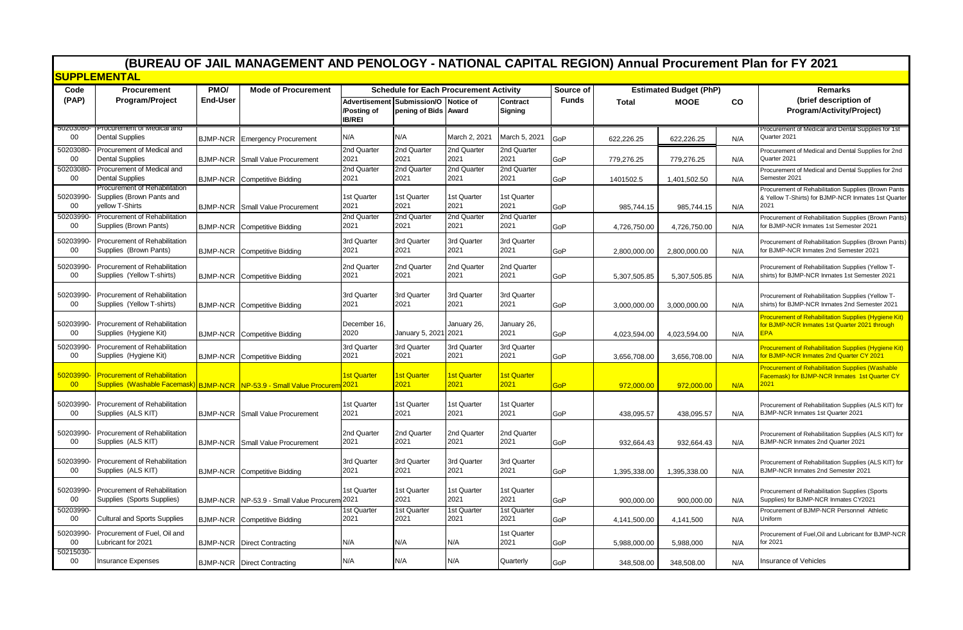| (BUREAU OF JAIL MANAGEMENT AND PENOLOGY - NATIONAL CAPITAL REGION) Annual Procurement Plan for FY 2021 |                                                                               |                         |                                                                      |                              |                                                                                                     |                     |                            |                           |              |                                              |     |                                                                                                                     |
|--------------------------------------------------------------------------------------------------------|-------------------------------------------------------------------------------|-------------------------|----------------------------------------------------------------------|------------------------------|-----------------------------------------------------------------------------------------------------|---------------------|----------------------------|---------------------------|--------------|----------------------------------------------|-----|---------------------------------------------------------------------------------------------------------------------|
| <b>SUPPLEMENTAL</b>                                                                                    |                                                                               |                         |                                                                      |                              |                                                                                                     |                     |                            |                           |              |                                              |     |                                                                                                                     |
| Code<br>(PAP)                                                                                          | Procurement<br>Program/Project                                                | PMO/<br><b>End-User</b> | <b>Mode of Procurement</b>                                           | /Posting of<br><b>IB/REI</b> | <b>Schedule for Each Procurement Activity</b><br>Advertisement Submission/O<br>pening of Bids Award | <b>Notice of</b>    | Contract<br><b>Signing</b> | Source of<br><b>Funds</b> | <b>Total</b> | <b>Estimated Budget (PhP)</b><br><b>MOOE</b> | CO  | <b>Remarks</b><br>(brief description of<br>Program/Activity/Project)                                                |
| OOZUJUOU<br>00                                                                                         | Procurement or ivieurcal and<br><b>Dental Supplies</b>                        |                         | <b>BJMP-NCR</b> Emergency Procurement                                | N/A                          | N/A                                                                                                 | March 2, 2021       | March 5, 2021              | GoP                       | 622,226.25   | 622,226.25                                   | N/A | Procurement of Medical and Dental Supplies for 1st<br>Quarter 2021                                                  |
| 50203080<br>00                                                                                         | Procurement of Medical and<br><b>Dental Supplies</b>                          |                         | <b>BJMP-NCR</b> Small Value Procurement                              | 2nd Quarter<br>2021          | 2nd Quarter<br>2021                                                                                 | 2nd Quarter<br>2021 | 2nd Quarter<br>2021        | GoP                       | 779,276.25   | 779,276.25                                   | N/A | Procurement of Medical and Dental Supplies for 2nd<br>Quarter 2021                                                  |
| 50203080<br>$00\,$                                                                                     | Procurement of Medical and<br><b>Dental Supplies</b>                          |                         | <b>BJMP-NCR</b> Competitive Bidding                                  | 2nd Quarter<br>2021          | 2nd Quarter<br>2021                                                                                 | 2nd Quarter<br>2021 | 2nd Quarter<br>2021        | GoP                       | 1401502.5    | 1,401,502.50                                 | N/A | Procurement of Medical and Dental Supplies for 2nd<br>Semester 2021                                                 |
| 50203990<br>$00\,$                                                                                     | Procurement of Rehabilitation<br>Supplies (Brown Pants and<br>yellow T-Shirts |                         | <b>BJMP-NCR</b> Small Value Procurement                              | 1st Quarter<br>2021          | 1st Quarter<br>2021                                                                                 | 1st Quarter<br>2021 | 1st Quarter<br>2021        | GoP                       | 985,744.15   | 985,744.15                                   | N/A | Procurement of Rehabilitation Supplies (Brown Pants<br>& Yellow T-Shirts) for BJMP-NCR Inmates 1st Quarter<br>2021  |
| 50203990<br>00                                                                                         | Procurement of Rehabilitation<br>Supplies (Brown Pants)                       |                         | <b>BJMP-NCR</b> Competitive Bidding                                  | 2nd Quarter<br>2021          | 2nd Quarter<br>2021                                                                                 | 2nd Quarter<br>2021 | 2nd Quarter<br>2021        | GoP                       | 4,726,750.00 | 4,726,750.00                                 | N/A | Procurement of Rehabilitation Supplies (Brown Pants)<br>for BJMP-NCR Inmates 1st Semester 2021                      |
| 50203990<br>$00\,$                                                                                     | Procurement of Rehabilitation<br>Supplies (Brown Pants)                       |                         | <b>BJMP-NCR</b> Competitive Bidding                                  | 3rd Quarter<br>2021          | 3rd Quarter<br>2021                                                                                 | 3rd Quarter<br>2021 | 3rd Quarter<br>2021        | GoP                       | 2,800,000.00 | 2,800,000.00                                 | N/A | Procurement of Rehabilitation Supplies (Brown Pants)<br>for BJMP-NCR Inmates 2nd Semester 2021                      |
| 50203990<br>$00\,$                                                                                     | Procurement of Rehabilitation<br>Supplies (Yellow T-shirts)                   |                         | <b>BJMP-NCR</b> Competitive Bidding                                  | 2nd Quarter<br>2021          | 2nd Quarter<br>2021                                                                                 | 2nd Quarter<br>2021 | 2nd Quarter<br>2021        | GoP                       | 5,307,505.85 | 5,307,505.85                                 | N/A | Procurement of Rehabilitation Supplies (Yellow T-<br>shirts) for BJMP-NCR Inmates 1st Semester 2021                 |
| 50203990-<br>$00\,$                                                                                    | Procurement of Rehabilitation<br>Supplies (Yellow T-shirts)                   |                         | <b>BJMP-NCR</b> Competitive Bidding                                  | 3rd Quarter<br>2021          | 3rd Quarter<br>2021                                                                                 | 3rd Quarter<br>2021 | 3rd Quarter<br>2021        | GoP                       | 3,000,000.00 | 3,000,000.00                                 | N/A | Procurement of Rehabilitation Supplies (Yellow T-<br>shirts) for BJMP-NCR Inmates 2nd Semester 2021                 |
| 50203990<br>00                                                                                         | Procurement of Rehabilitation<br>Supplies (Hygiene Kit)                       |                         | BJMP-NCR Competitive Bidding                                         | December 16,<br>2020         | January 5, 2021                                                                                     | January 26,<br>2021 | January 26,<br>2021        | GoP                       | 4,023,594.00 | 4,023,594.00                                 | N/A | Procurement of Rehabilitation Supplies (Hygiene Kit)<br>for BJMP-NCR Inmates 1st Quarter 2021 through<br><b>EPA</b> |
| 50203990<br>$00\,$                                                                                     | Procurement of Rehabilitation<br>Supplies (Hygiene Kit)                       |                         | <b>BJMP-NCR</b> Competitive Bidding                                  | 3rd Quarter<br>2021          | 3rd Quarter<br>2021                                                                                 | 3rd Quarter<br>2021 | 3rd Quarter<br>2021        | GoP                       | 3,656,708.00 | 3,656,708.00                                 | N/A | Procurement of Rehabilitation Supplies (Hygiene Kit)<br>for BJMP-NCR Inmates 2nd Quarter CY 2021                    |
| 50203990<br>00                                                                                         | <b>Procurement of Rehabilitation</b>                                          |                         | Supplies (Washable Facemask) BJMP-NCR NP-53.9 - Small Value Procurer | <b>1st Quarter</b><br>2021   | <b>1st Quarter</b><br>2021                                                                          | 1st Quarter<br>2021 | <b>1st Quarter</b><br>2021 | GoP                       | 972,000.00   | 972,000.00                                   | N/A | Procurement of Rehabilitation Supplies (Washable<br>Facemask) for BJMP-NCR Inmates 1st Quarter CY<br>2021           |
| 50203990<br>$00\,$                                                                                     | Procurement of Rehabilitation<br>Supplies (ALS KIT)                           |                         | <b>BJMP-NCR</b> Small Value Procurement                              | 1st Quarter<br>2021          | 1st Quarter<br>2021                                                                                 | 1st Quarter<br>2021 | 1st Quarter<br>2021        | GoP                       | 438,095.57   | 438,095.57                                   | N/A | Procurement of Rehabilitation Supplies (ALS KIT) for<br>BJMP-NCR Inmates 1st Quarter 2021                           |
| 50203990<br>$00\,$                                                                                     | Procurement of Rehabilitation<br>Supplies (ALS KIT)                           |                         | <b>BJMP-NCR</b> Small Value Procurement                              | 2nd Quarter<br>2021          | 2nd Quarter<br>2021                                                                                 | 2nd Quarter<br>2021 | 2nd Quarter<br>2021        | GoP                       | 932,664.43   | 932,664.43                                   | N/A | Procurement of Rehabilitation Supplies (ALS KIT) for<br>BJMP-NCR Inmates 2nd Quarter 2021                           |
| 50203990<br>$00\,$                                                                                     | Procurement of Rehabilitation<br>Supplies (ALS KIT)                           |                         | <b>BJMP-NCR</b> Competitive Bidding                                  | 3rd Quarter<br>2021          | 3rd Quarter<br>2021                                                                                 | 3rd Quarter<br>2021 | 3rd Quarter<br>2021        | GoP                       | 1,395,338.00 | 1,395,338.00                                 | N/A | Procurement of Rehabilitation Supplies (ALS KIT) for<br>BJMP-NCR Inmates 2nd Semester 2021                          |
| 50203990<br>00                                                                                         | Procurement of Rehabilitation<br>Supplies (Sports Supplies)                   |                         | BJMP-NCR NP-53.9 - Small Value Procurem                              | 1st Quarter<br>2021          | 1st Quarter<br>2021                                                                                 | 1st Quarter<br>2021 | 1st Quarter<br>2021        | GoP                       | 900,000.00   | 900,000.00                                   | N/A | Procurement of Rehabilitation Supplies (Sports<br>Supplies) for BJMP-NCR Inmates CY2021                             |
| 50203990<br>$00\,$                                                                                     | <b>Cultural and Sports Supplies</b>                                           |                         | <b>BJMP-NCR</b> Competitive Bidding                                  | 1st Quarter<br>2021          | 1st Quarter<br>2021                                                                                 | 1st Quarter<br>2021 | 1st Quarter<br>2021        | GoP                       | 4,141,500.00 | 4,141,500                                    | N/A | Procurement of BJMP-NCR Personnel Athletic<br>Uniform                                                               |
| 50203990<br>00                                                                                         | Procurement of Fuel, Oil and<br>Lubricant for 2021                            |                         | <b>BJMP-NCR</b> Direct Contracting                                   | N/A                          | N/A                                                                                                 | N/A                 | 1st Quarter<br>2021        | GoP                       | 5,988,000.00 | 5,988,000                                    | N/A | Procurement of Fuel, Oil and Lubricant for BJMP-NCR<br>for 2021                                                     |
| 50215030<br>$00\,$                                                                                     | <b>Insurance Expenses</b>                                                     |                         | <b>BJMP-NCR</b> Direct Contracting                                   | N/A                          | N/A                                                                                                 | N/A                 | Quarterly                  | GoP                       | 348,508.00   | 348,508.00                                   | N/A | Insurance of Vehicles                                                                                               |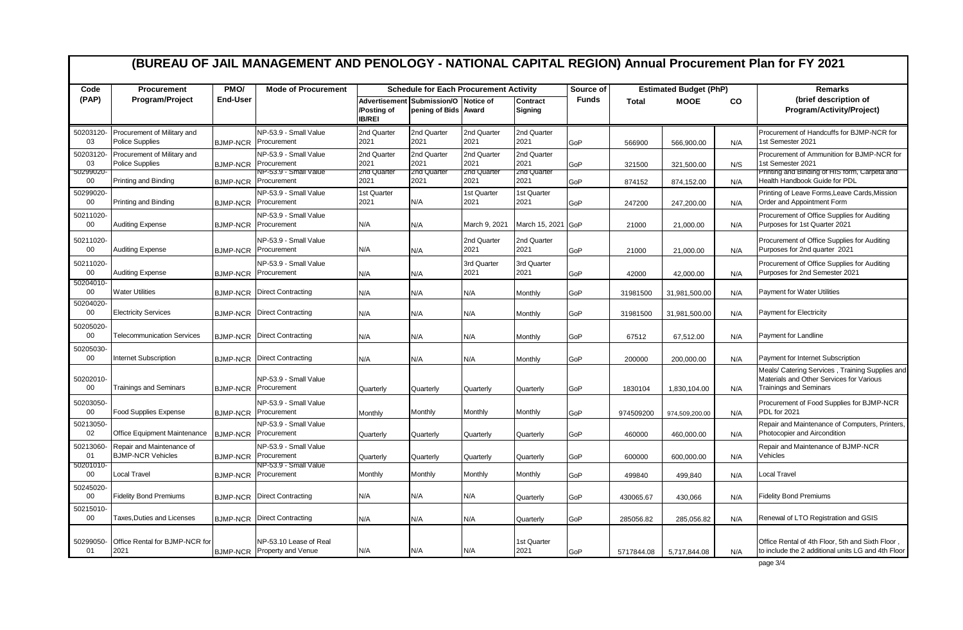|                            | (BUREAU OF JAIL MANAGEMENT AND PENOLOGY - NATIONAL CAPITAL REGION) Annual Procurement Plan for FY 2021 |                 |                                                               |                                   |                                                              |                                    |                                    |                               |              |                          |                |                                                                                                                              |  |
|----------------------------|--------------------------------------------------------------------------------------------------------|-----------------|---------------------------------------------------------------|-----------------------------------|--------------------------------------------------------------|------------------------------------|------------------------------------|-------------------------------|--------------|--------------------------|----------------|------------------------------------------------------------------------------------------------------------------------------|--|
| Code                       | <b>Procurement</b>                                                                                     | PMO/            | <b>Mode of Procurement</b>                                    |                                   | <b>Schedule for Each Procurement Activity</b>                |                                    | Source of                          | <b>Estimated Budget (PhP)</b> |              |                          | <b>Remarks</b> |                                                                                                                              |  |
| (PAP)                      | Program/Project                                                                                        | <b>End-User</b> |                                                               | /Posting of<br><b>IB/REI</b>      | Advertisement Submission/O Notice of<br>pening of Bids Award |                                    | Contract<br><b>Signing</b>         | <b>Funds</b>                  | <b>Total</b> | <b>MOOE</b><br><b>CO</b> |                | (brief description of<br>Program/Activity/Project)                                                                           |  |
| 50203120-<br>03            | Procurement of Military and<br><b>Police Supplies</b>                                                  | <b>BJMP-NCR</b> | NP-53.9 - Small Value<br>Procurement                          | 2nd Quarter<br>2021               | 2nd Quarter<br>2021                                          | 2nd Quarter<br>2021                | 2nd Quarter<br>2021                | GoP                           | 566900       | 566.900.00               | N/A            | Procurement of Handcuffs for BJMP-NCR for<br>1st Semester 2021                                                               |  |
| 50203120<br>03<br>90299020 | Procurement of Military and<br><b>Police Supplies</b>                                                  | <b>BJMP-NCR</b> | NP-53.9 - Small Value<br>Procurement<br>NP-53.9 - Small Value | 2nd Quarter<br>2021<br>2nd Quarte | 2nd Quarter<br>2021<br>zna Quartei                           | 2nd Quarter<br>2021<br>2nd Quarter | 2nd Quarter<br>2021<br>Znd Quarter | GoP                           | 321500       | 321,500.00               | N/S            | Procurement of Ammunition for BJMP-NCR for<br>1st Semester 2021<br>Printing and Binding of HIS form, Carpeta and             |  |
| 00                         | Printing and Binding                                                                                   | <b>BJMP-NCR</b> | Procurement                                                   | 2021                              | 2021                                                         | 2021                               | 2021                               | GoP                           | 874152       | 874,152.00               | N/A            | Health Handbook Guide for PDL                                                                                                |  |
| 50299020<br>00             | Printing and Binding                                                                                   | <b>BJMP-NCR</b> | NP-53.9 - Small Value<br>Procurement                          | 1st Quarter<br>2021               | N/A                                                          | 1st Quarter<br>2021                | 1st Quarter<br>2021                | GoP                           | 247200       | 247,200.00               | N/A            | Printing of Leave Forms, Leave Cards, Mission<br>Order and Appointment Form                                                  |  |
| 50211020<br>$00\,$         | Auditing Expense                                                                                       | <b>BJMP-NCR</b> | NP-53.9 - Small Value<br>Procurement                          | N/A                               | N/A                                                          | March 9, 2021                      | March 15, 2021                     | GoP                           | 21000        | 21,000.00                | N/A            | Procurement of Office Supplies for Auditing<br>Purposes for 1st Quarter 2021                                                 |  |
| 50211020<br>00             | <b>Auditing Expense</b>                                                                                | <b>BJMP-NCR</b> | NP-53.9 - Small Value<br>Procurement                          | N/A                               | N/A                                                          | 2nd Quarter<br>2021                | 2nd Quarter<br>2021                | GoP                           | 21000        | 21,000.00                | N/A            | Procurement of Office Supplies for Auditing<br>Purposes for 2nd quarter 2021                                                 |  |
| 50211020<br>00             | <b>Auditing Expense</b>                                                                                | <b>BJMP-NCR</b> | NP-53.9 - Small Value<br>Procurement                          | N/A                               | N/A                                                          | 3rd Quarter<br>2021                | 3rd Quarter<br>2021                | GoP                           | 42000        | 42,000.00                | N/A            | Procurement of Office Supplies for Auditing<br>Purposes for 2nd Semester 2021                                                |  |
| 50204010<br>00             | <b>Water Utilities</b>                                                                                 | <b>BJMP-NCR</b> | <b>Direct Contracting</b>                                     | N/A                               | N/A                                                          | N/A                                | Monthly                            | GoP                           | 31981500     | 31,981,500.00            | N/A            | <b>Payment for Water Utilities</b>                                                                                           |  |
| 50204020<br>00             | <b>Electricity Services</b>                                                                            | <b>BJMP-NCR</b> | <b>Direct Contracting</b>                                     | N/A                               | N/A                                                          | N/A                                | Monthly                            | GoP                           | 31981500     | 31,981,500.00            | N/A            | <b>Payment for Electricity</b>                                                                                               |  |
| 50205020<br>00             | <b>Telecommunication Services</b>                                                                      | <b>BJMP-NCR</b> | <b>Direct Contracting</b>                                     | N/A                               | N/A                                                          | N/A                                | Monthly                            | GoP                           | 67512        | 67,512.00                | N/A            | Payment for Landline                                                                                                         |  |
| 50205030<br>00             | <b>Internet Subscription</b>                                                                           | <b>BJMP-NCR</b> | <b>Direct Contracting</b>                                     | N/A                               | N/A                                                          | N/A                                | Monthly                            | GoP                           | 200000       | 200,000.00               | N/A            | Payment for Internet Subscription                                                                                            |  |
| 50202010-<br>00            | <b>Trainings and Seminars</b>                                                                          | <b>BJMP-NCR</b> | NP-53.9 - Small Value<br>Procurement                          | Quarterly                         | Quarterly                                                    | Quarterly                          | Quarterly                          | GoP                           | 1830104      | 1,830,104.00             | N/A            | Meals/ Catering Services, Training Supplies and<br>Materials and Other Services for Various<br><b>Trainings and Seminars</b> |  |
| 50203050<br>00             | <b>Food Supplies Expense</b>                                                                           | <b>BJMP-NCR</b> | NP-53.9 - Small Value<br>Procurement                          | Monthly                           | Monthly                                                      | Monthly                            | Monthly                            | GoP                           | 974509200    | 974,509,200.00           | N/A            | Procurement of Food Supplies for BJMP-NCR<br>PDL for 2021                                                                    |  |
| 50213050<br>02             | Office Equipment Maintenance                                                                           | <b>BJMP-NCR</b> | NP-53.9 - Small Value<br>Procurement                          | Quarterly                         | Quarterly                                                    | Quarterly                          | Quarterly                          | GoP                           | 460000       | 460,000.00               | N/A            | Repair and Maintenance of Computers, Printers,<br>Photocopier and Aircondition                                               |  |
| 50213060<br>01             | Repair and Maintenance of<br><b>BJMP-NCR Vehicles</b>                                                  | <b>BJMP-NCR</b> | NP-53.9 - Small Value<br>Procurement                          | Quarterly                         | Quarterly                                                    | Quarterly                          | Quarterly                          | GoP                           | 600000       | 600,000.00               | N/A            | Repair and Maintenance of BJMP-NCR<br>Vehicles                                                                               |  |
| 50201010<br>00             | Local Travel                                                                                           | <b>BJMP-NCR</b> | VP-53.9 - Small Value<br>Procurement                          | Monthly                           | Monthly                                                      | Monthly                            | Monthly                            | GoP                           | 499840       | 499,840                  | N/A            | Local Travel                                                                                                                 |  |
| 50245020<br>00             | <b>Fidelity Bond Premiums</b>                                                                          | <b>BJMP-NCR</b> | <b>Direct Contracting</b>                                     | N/A                               | N/A                                                          | N/A                                | Quarterly                          | GoP                           | 430065.67    | 430,066                  | N/A            | <b>Fidelity Bond Premiums</b>                                                                                                |  |
| 50215010<br>00             | Taxes, Duties and Licenses                                                                             | <b>BJMP-NCR</b> | <b>Direct Contracting</b>                                     | N/A                               | N/A                                                          | N/A                                | Quarterly                          | GoP                           | 285056.82    | 285,056.82               | N/A            | Renewal of LTO Registration and GSIS                                                                                         |  |
| 50299050<br>01             | Office Rental for BJMP-NCR for<br>2021                                                                 |                 | NP-53.10 Lease of Real<br>BJMP-NCR Property and Venue         | N/A                               | N/A                                                          | N/A                                | 1st Quarter<br>2021                | GoP                           | 5717844.08   | 5,717,844.08             | N/A            | Office Rental of 4th Floor, 5th and Sixth Floor<br>to include the 2 additional units LG and 4th Floor                        |  |

page 3/4